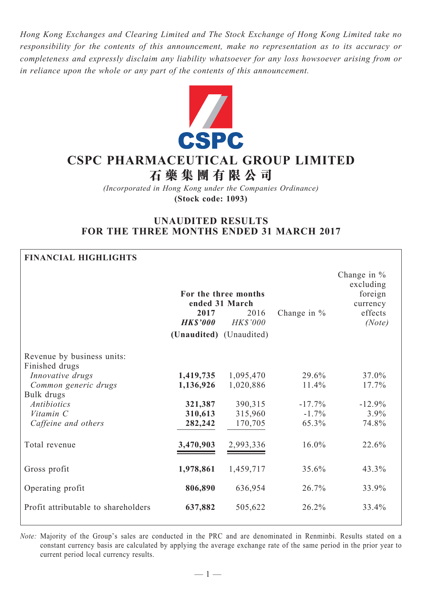*Hong Kong Exchanges and Clearing Limited and The Stock Exchange of Hong Kong Limited take no responsibility for the contents of this announcement, make no representation as to its accuracy or completeness and expressly disclaim any liability whatsoever for any loss howsoever arising from or in reliance upon the whole or any part of the contents of this announcement.*



# **CSPC Pharmaceutical Group Limited 石 藥 集 團 有 限 公 司**

*(Incorporated in Hong Kong under the Companies Ordinance)* **(Stock code: 1093)**

## **UNAUDITED RESULTS FOR THE THREE MONTHS ENDED 31 MARCH 2017**

## **Financial Highlights** Change in % excluding foreign currency effects  **For the three months ended 31 March 2017** 2016 Change in % *HK\$'000 HK\$'000 (Note)* **(Unaudited)** (Unaudited) Revenue by business units: Finished drugs *Innovative drugs* **1,419,735** 1,095,470 29.6% 37.0% *Common generic drugs* **1,136,926** 1,020,886 11.4% 17.7% Bulk drugs *Antibiotics* **321,387** 390,315 -17.7% -12.9% *Vitamin C* **310,613** 315,960 -1.7% 3.9% *Caffeine and others* **282,242** 170,705 65.3% 74.8% Total revenue **3,470,903** 2,993,336 16.0% 22.6% Gross profit **1,978,861** 1,459,717 35.6% 43.3% Operating profit **806,890** 636,954 26.7% 33.9% Profit attributable to shareholders **637,882** 505,622 26.2% 33.4%

*Note:* Majority of the Group's sales are conducted in the PRC and are denominated in Renminbi. Results stated on a constant currency basis are calculated by applying the average exchange rate of the same period in the prior year to current period local currency results.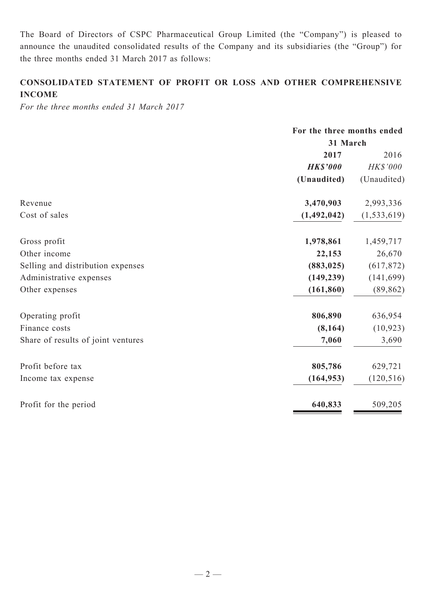The Board of Directors of CSPC Pharmaceutical Group Limited (the "Company") is pleased to announce the unaudited consolidated results of the Company and its subsidiaries (the "Group") for the three months ended 31 March 2017 as follows:

## **CONSOLIDATED STATEMENT OF PROFIT OR LOSS AND OTHER COMPREHENSIVE INCOME**

*For the three months ended 31 March 2017*

|                                    | For the three months ended<br>31 March |               |  |
|------------------------------------|----------------------------------------|---------------|--|
|                                    |                                        |               |  |
|                                    | 2017                                   | 2016          |  |
|                                    | <b>HK\$'000</b>                        | HK\$'000      |  |
|                                    | (Unaudited)                            | (Unaudited)   |  |
| Revenue                            | 3,470,903                              | 2,993,336     |  |
| Cost of sales                      | (1,492,042)                            | (1, 533, 619) |  |
| Gross profit                       | 1,978,861                              | 1,459,717     |  |
| Other income                       | 22,153                                 | 26,670        |  |
| Selling and distribution expenses  | (883, 025)                             | (617, 872)    |  |
| Administrative expenses            | (149, 239)                             | (141, 699)    |  |
| Other expenses                     | (161, 860)                             | (89, 862)     |  |
| Operating profit                   | 806,890                                | 636,954       |  |
| Finance costs                      | (8, 164)                               | (10, 923)     |  |
| Share of results of joint ventures | 7,060                                  | 3,690         |  |
| Profit before tax                  | 805,786                                | 629,721       |  |
| Income tax expense                 | (164, 953)                             | (120, 516)    |  |
| Profit for the period              | 640,833                                | 509,205       |  |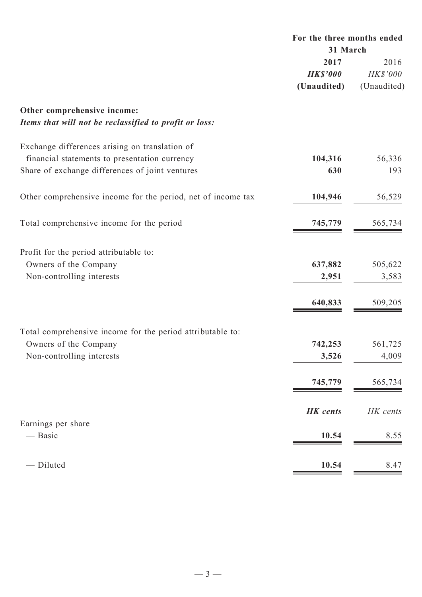|                                                              | For the three months ended<br>31 March |             |  |
|--------------------------------------------------------------|----------------------------------------|-------------|--|
|                                                              |                                        |             |  |
|                                                              | 2017                                   | 2016        |  |
|                                                              | <b>HK\$'000</b>                        | HK\$'000    |  |
|                                                              | (Unaudited)                            | (Unaudited) |  |
| Other comprehensive income:                                  |                                        |             |  |
| Items that will not be reclassified to profit or loss:       |                                        |             |  |
| Exchange differences arising on translation of               |                                        |             |  |
| financial statements to presentation currency                | 104,316                                | 56,336      |  |
| Share of exchange differences of joint ventures              | 630                                    | 193         |  |
| Other comprehensive income for the period, net of income tax | 104,946                                | 56,529      |  |
| Total comprehensive income for the period                    | 745,779                                | 565,734     |  |
| Profit for the period attributable to:                       |                                        |             |  |
| Owners of the Company                                        | 637,882                                | 505,622     |  |
| Non-controlling interests                                    | 2,951                                  | 3,583       |  |
|                                                              | 640,833                                | 509,205     |  |
|                                                              |                                        |             |  |
| Total comprehensive income for the period attributable to:   |                                        |             |  |
| Owners of the Company                                        | 742,253                                | 561,725     |  |
| Non-controlling interests                                    | 3,526                                  | 4,009       |  |
|                                                              | 745,779                                | 565,734     |  |
|                                                              | <b>HK</b> cents                        | HK cents    |  |
| Earnings per share<br>— Basic                                | 10.54                                  | 8.55        |  |
|                                                              |                                        |             |  |
| - Diluted                                                    | 10.54                                  | 8.47        |  |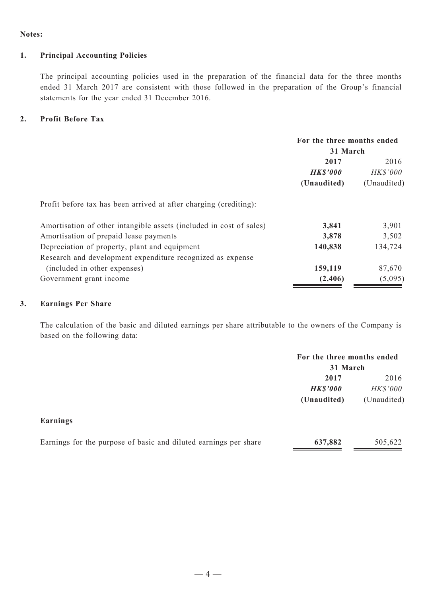#### **Notes:**

### **1. Principal Accounting Policies**

The principal accounting policies used in the preparation of the financial data for the three months ended 31 March 2017 are consistent with those followed in the preparation of the Group's financial statements for the year ended 31 December 2016.

### **2. Profit Before Tax**

|                                                                     | For the three months ended<br>31 March |             |  |
|---------------------------------------------------------------------|----------------------------------------|-------------|--|
|                                                                     |                                        |             |  |
|                                                                     | 2017                                   | 2016        |  |
|                                                                     | <b>HK\$'000</b>                        | HK\$'000    |  |
|                                                                     | (Unaudited)                            | (Unaudited) |  |
| Profit before tax has been arrived at after charging (crediting):   |                                        |             |  |
| Amortisation of other intangible assets (included in cost of sales) | 3,841                                  | 3,901       |  |
| Amortisation of prepaid lease payments                              | 3,878                                  | 3,502       |  |
| Depreciation of property, plant and equipment                       | 140,838                                | 134,724     |  |
| Research and development expenditure recognized as expense          |                                        |             |  |
| (included in other expenses)                                        | 159,119                                | 87,670      |  |
| Government grant income                                             | (2,406)                                | (5,095)     |  |

## **3. Earnings Per Share**

The calculation of the basic and diluted earnings per share attributable to the owners of the Company is based on the following data:

|                 | For the three months ended<br>31 March |                 |
|-----------------|----------------------------------------|-----------------|
|                 | 2017                                   | 2016            |
|                 | <b>HK\$'000</b>                        | <i>HK\$'000</i> |
|                 | (Unaudited)                            | (Unaudited)     |
| <b>Earnings</b> |                                        |                 |

| Earnings for the purpose of basic and diluted earnings per share | 637,882 | 505,622 |
|------------------------------------------------------------------|---------|---------|
|                                                                  |         |         |
|                                                                  |         |         |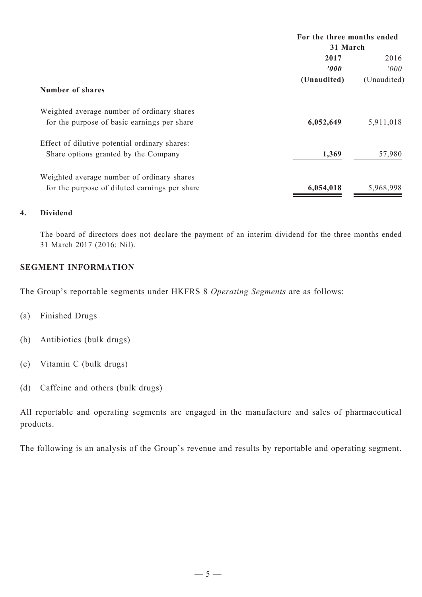|                                               | For the three months ended |                |  |
|-----------------------------------------------|----------------------------|----------------|--|
|                                               | 31 March                   |                |  |
|                                               | 2017                       | 2016           |  |
|                                               | 2000                       | $2000^{\circ}$ |  |
|                                               | (Unaudited)                | (Unaudited)    |  |
| <b>Number of shares</b>                       |                            |                |  |
| Weighted average number of ordinary shares    |                            |                |  |
| for the purpose of basic earnings per share   | 6,052,649                  | 5,911,018      |  |
| Effect of dilutive potential ordinary shares: |                            |                |  |
| Share options granted by the Company          | 1,369                      | 57,980         |  |
| Weighted average number of ordinary shares    |                            |                |  |
| for the purpose of diluted earnings per share | 6,054,018                  | 5,968,998      |  |

## **4. Dividend**

The board of directors does not declare the payment of an interim dividend for the three months ended 31 March 2017 (2016: Nil).

## **SEGMENT INFORMATION**

The Group's reportable segments under HKFRS 8 *Operating Segments* are as follows:

- (a) Finished Drugs
- (b) Antibiotics (bulk drugs)
- (c) Vitamin C (bulk drugs)
- (d) Caffeine and others (bulk drugs)

All reportable and operating segments are engaged in the manufacture and sales of pharmaceutical products.

The following is an analysis of the Group's revenue and results by reportable and operating segment.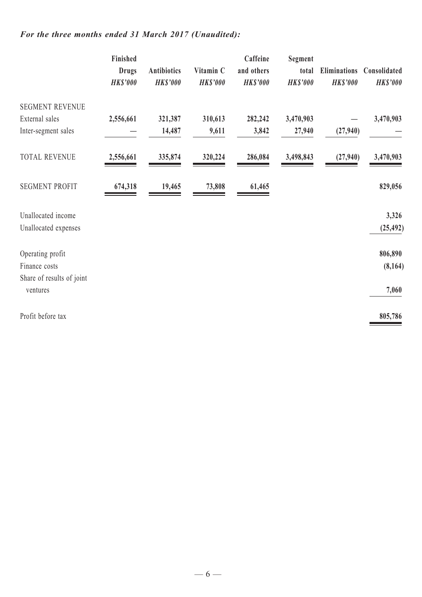## *For the three months ended 31 March 2017 (Unaudited):*

|                                                                | Finished<br><b>Drugs</b><br><b>HK\$'000</b> | Antibiotics<br><b>HK\$'000</b> | Vitamin C<br><b>HK\$'000</b> | Caffeine<br>and others<br><b>HK\$'000</b> | <b>Segment</b><br>total<br><b>HK\$'000</b> | <b>Eliminations</b><br><b>HK\$'000</b> | Consolidated<br><b>HK\$'000</b> |
|----------------------------------------------------------------|---------------------------------------------|--------------------------------|------------------------------|-------------------------------------------|--------------------------------------------|----------------------------------------|---------------------------------|
| <b>SEGMENT REVENUE</b><br>External sales                       | 2,556,661                                   | 321,387                        | 310,613                      | 282,242                                   | 3,470,903                                  |                                        | 3,470,903                       |
| Inter-segment sales                                            |                                             | 14,487                         | 9,611                        | 3,842                                     | 27,940                                     | (27,940)                               |                                 |
| <b>TOTAL REVENUE</b>                                           | 2,556,661                                   | 335,874                        | 320,224                      | 286,084                                   | 3,498,843                                  | (27,940)                               | 3,470,903                       |
| <b>SEGMENT PROFIT</b>                                          | 674,318                                     | 19,465                         | 73,808                       | 61,465                                    |                                            |                                        | 829,056                         |
| Unallocated income<br>Unallocated expenses                     |                                             |                                |                              |                                           |                                            |                                        | 3,326<br>(25, 492)              |
| Operating profit<br>Finance costs<br>Share of results of joint |                                             |                                |                              |                                           |                                            |                                        | 806,890<br>(8,164)              |
| ventures                                                       |                                             |                                |                              |                                           |                                            |                                        | 7,060                           |
| Profit before tax                                              |                                             |                                |                              |                                           |                                            |                                        | 805,786                         |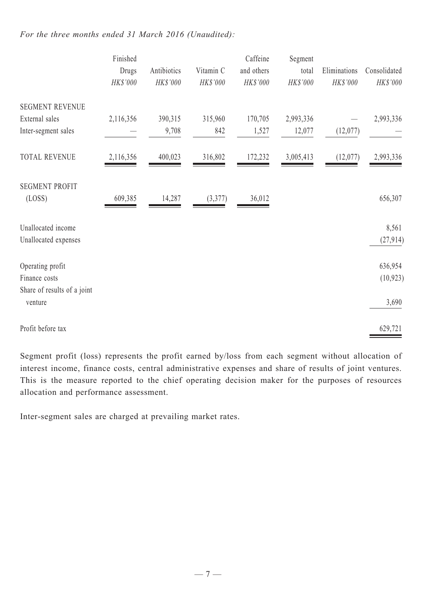## *For the three months ended 31 March 2016 (Unaudited):*

|                                        | Finished<br>Drugs<br>HK\$'000 | Antibiotics<br>HK\$'000 | Vitamin C<br>HK\$'000 | Caffeine<br>and others<br>HK\$'000 | Segment<br>total<br>HK\$'000 | Eliminations<br>HK\$'000 | Consolidated<br>HK\$'000 |
|----------------------------------------|-------------------------------|-------------------------|-----------------------|------------------------------------|------------------------------|--------------------------|--------------------------|
| <b>SEGMENT REVENUE</b>                 |                               |                         |                       |                                    |                              |                          |                          |
| External sales                         | 2,116,356                     | 390,315                 | 315,960               | 170,705                            | 2,993,336                    |                          | 2,993,336                |
| Inter-segment sales                    |                               | 9,708                   | 842                   | 1,527                              | 12,077                       | (12,077)                 |                          |
| <b>TOTAL REVENUE</b>                   | 2,116,356                     | 400,023                 | 316,802               | 172,232                            | 3,005,413                    | (12,077)                 | 2,993,336                |
| <b>SEGMENT PROFIT</b>                  |                               |                         |                       |                                    |                              |                          |                          |
| (LOSS)                                 | 609,385                       | 14,287                  | (3,377)               | 36,012                             |                              |                          | 656,307                  |
| Unallocated income                     |                               |                         |                       |                                    |                              |                          | 8,561                    |
| Unallocated expenses                   |                               |                         |                       |                                    |                              |                          | (27, 914)                |
| Operating profit                       |                               |                         |                       |                                    |                              |                          | 636,954                  |
| Finance costs                          |                               |                         |                       |                                    |                              |                          | (10, 923)                |
| Share of results of a joint<br>venture |                               |                         |                       |                                    |                              |                          | 3,690                    |
| Profit before tax                      |                               |                         |                       |                                    |                              |                          | 629,721                  |

Segment profit (loss) represents the profit earned by/loss from each segment without allocation of interest income, finance costs, central administrative expenses and share of results of joint ventures. This is the measure reported to the chief operating decision maker for the purposes of resources allocation and performance assessment.

Inter-segment sales are charged at prevailing market rates.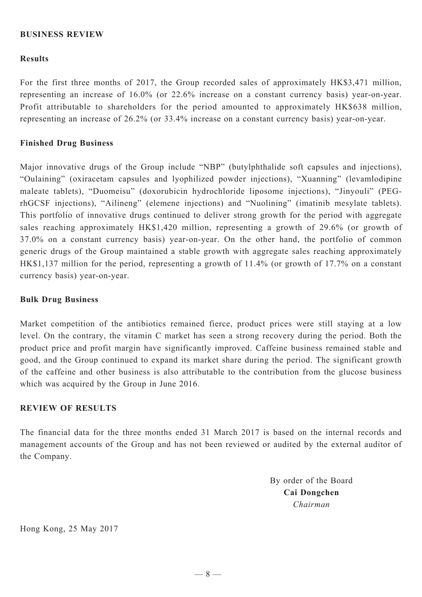### **BUSINESS REVIEW**

#### **Results**

For the first three months of 2017, the Group recorded sales of approximately HK\$3,471 million, representing an increase of 16.0% (or 22.6% increase on a constant currency basis) year-on-year. Profit attributable to shareholders for the period amounted to approximately HK\$638 million, representing an increase of 26.2% (or 33.4% increase on a constant currency basis) year-on-year.

#### **Finished Drug Business**

Major innovative drugs of the Group include "NBP" (butylphthalide soft capsules and injections), "Oulaining" (oxiracetam capsules and lyophilized powder injections), "Xuanning" (levamlodipine maleate tablets), "Duomeisu" (doxorubicin hydrochloride liposome injections), "Jinyouli" (PEGrhGCSF injections), "Ailineng" (elemene injections) and "Nuolining" (imatinib mesylate tablets). This portfolio of innovative drugs continued to deliver strong growth for the period with aggregate sales reaching approximately HK\$1,420 million, representing a growth of 29.6% (or growth of 37.0% on a constant currency basis) year-on-year. On the other hand, the portfolio of common generic drugs of the Group maintained a stable growth with aggregate sales reaching approximately HK\$1,137 million for the period, representing a growth of 11.4% (or growth of 17.7% on a constant currency basis) year-on-year.

#### **Bulk Drug Business**

Market competition of the antibiotics remained fierce, product prices were still staying at a low level. On the contrary, the vitamin C market has seen a strong recovery during the period. Both the product price and profit margin have significantly improved. Caffeine business remained stable and good, and the Group continued to expand its market share during the period. The significant growth of the caffeine and other business is also attributable to the contribution from the glucose business which was acquired by the Group in June 2016.

## **Review of Results**

The financial data for the three months ended 31 March 2017 is based on the internal records and management accounts of the Group and has not been reviewed or audited by the external auditor of the Company.

> By order of the Board **Cai Dongchen** *Chairman*

Hong Kong, 25 May 2017